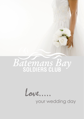



your wedding day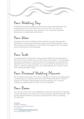## Your Wedding Day

At the Batemans Bay Soldiers Club we know and understand that your wedding day is the most important day of your life. Our team of professionals will organise every aspect of your wedding reception, leaving you to simply relax and enjoy it.

### Your Ideas

Situated in the heart of Batemans Bay directly opposite the beautiful Clyde River, our function rooms are modern and well appointed. There are venues and packages to suit all tastes and budgets, with our largest rooms catering for up to 400 guests.

#### Your Taste

Our dedicated catering team will guarantee efficient and professional service with menu options to suit most tastes and budgets. Our packages have been designed to take the stress out of planning your special day. Tailored menus can be arranged if you would prefer to create your own. When it comes to selecting wines, our cellar department is able to assist with making the right choice.

# Your Personal Wedding Planner

We are there every step of the way in helping to ensure your wedding day is everything you've dreamed of and more. Please feel free to contact Andrea to arrange a personalised planning meeting. Let us assist in making your special day full of joy, love and laughter.

## Your Room

Our Function rooms are very adaptable, so the size and amount of guests can be tailored to your needs. Our Function Rooms hold between 80 – 400 guests. Please feel free to arrange a site inspection with our wedding co-ordinator.

Enquiries: Andrea Thompson Functions & Events Manager Ph: 4472 4117 Email: [andrea@baysoldiers.com.au](mailto:andrea@baysoldiers.com.au) www.baysoldiers.com.au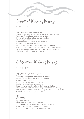Essential Wedding Package

\$70.00 per person

Two (2) Course alternate serve Menu (*Select two items – Entrée & Main to create an alternate dinner menu)* Wedding Cake plated and served as dessert Dinner rolls and freshly brewed tea & coffee Champagne for Toasts Function room hire for up to five (5) hours Lectern & microphone for speeches Bridal tables dressed in crisp white linen and skirting Cake and Gift Table dressed in crisp white linen and skirting Overnight accommodation in a Deluxe Ocean View Suite Chocolates & Champagne on arrival

Celebration Wedding Package

\$100.00 per person

Two (2) Course alternate serve Menu *(Select two items – Entrée & Main to create an alternate dinner menu)* Wedding Cake plated and served as dessert Dinner rolls and freshly brewed tea & coffee Champagne for Toasts Function room hire for up to five (5) hours Lectern & microphone for speeches Bridal tables dressed in crisp white linen and skirting Cake and Gift Table dressed in crisp white linen and skirting Overnight accommodation in a luxury Deluxe Ocean View Suite Chocolates & Champagne on arrival

Bonus

Upgrade Entrées Pre-Dinner Drinks on Arrival – 30mins Table Wine - Two (2) Bottles Red & White per table Chair Covers and Sash for the Bridal Table Master of ceremonies and DJ for the evening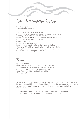Fairy Tail Wedding Package

\$120.00 per person (Minimum of 80 guests)

Three (3) Course alternate serve Menu *(Select two items from each course to create an alternate dinner menu)* Wedding Cake cut and served to tables Dinner rolls, freshly brewed tea & coffee served with chocolates Function room hire for up to five (5) hours Champagne for Toast Lectern & microphone for speeches Bridal tables dressed in crisp white linen and skirting Cake and Gift Table dressed in crisp white linen and skirting Overnight accommodation in a deluxe ocean view suite Chocolates & Champagne on arrival

#### Bonus

Upgrade Entrées Pre-Dinner Drinks and Canapés on Arrival – 30mins Table Wine - Two (2) Bottles Red & White per table Master of ceremonies and DJ for the evening Chair Covers and Sash for the Bridal Table Chair covers for all chairs

We are flexible and are happy to discuss any particular needs or desires you may have. If you would like something a little different to the packages, we are happy to assist you in creating your own individual menu to your taste and dietary requirements.

- \* Final numbers required a minimum 7 working days prior to wedding.
- \* All packages/prices are subject to change without notice.